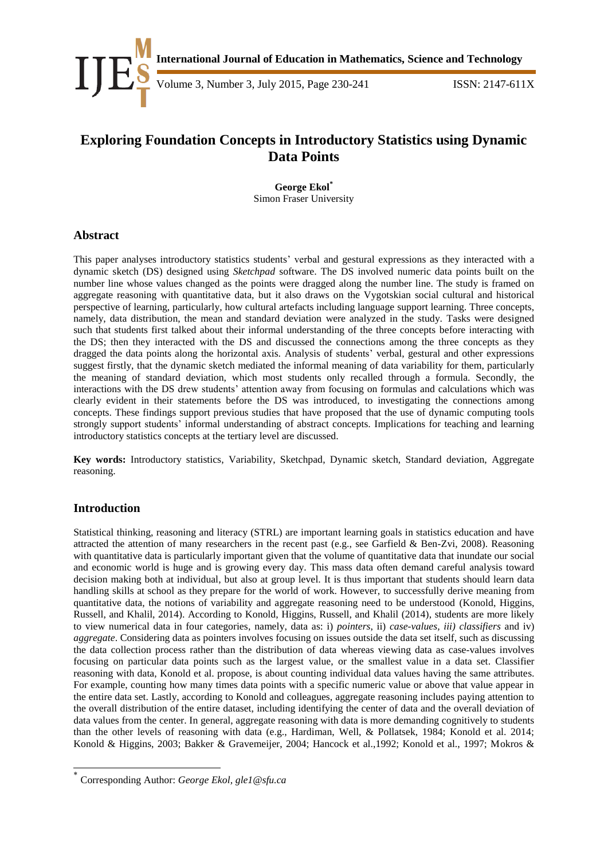

Volume 3, Number 3, July 2015, Page 230-241 **ISSN:** 2147-611X

# **Exploring Foundation Concepts in Introductory Statistics using Dynamic Data Points**

**George Ekol\*** Simon Fraser University

## **Abstract**

This paper analyses introductory statistics students' verbal and gestural expressions as they interacted with a dynamic sketch (DS) designed using *Sketchpad* software. The DS involved numeric data points built on the number line whose values changed as the points were dragged along the number line. The study is framed on aggregate reasoning with quantitative data, but it also draws on the Vygotskian social cultural and historical perspective of learning, particularly, how cultural artefacts including language support learning. Three concepts, namely, data distribution, the mean and standard deviation were analyzed in the study. Tasks were designed such that students first talked about their informal understanding of the three concepts before interacting with the DS; then they interacted with the DS and discussed the connections among the three concepts as they dragged the data points along the horizontal axis. Analysis of students' verbal, gestural and other expressions suggest firstly, that the dynamic sketch mediated the informal meaning of data variability for them, particularly the meaning of standard deviation, which most students only recalled through a formula. Secondly, the interactions with the DS drew students' attention away from focusing on formulas and calculations which was clearly evident in their statements before the DS was introduced, to investigating the connections among concepts. These findings support previous studies that have proposed that the use of dynamic computing tools strongly support students' informal understanding of abstract concepts. Implications for teaching and learning introductory statistics concepts at the tertiary level are discussed.

**Key words:** Introductory statistics, Variability, Sketchpad, Dynamic sketch, Standard deviation, Aggregate reasoning.

## **Introduction**

-

Statistical thinking, reasoning and literacy (STRL) are important learning goals in statistics education and have attracted the attention of many researchers in the recent past (e.g., see Garfield & Ben-Zvi, 2008). Reasoning with quantitative data is particularly important given that the volume of quantitative data that inundate our social and economic world is huge and is growing every day. This mass data often demand careful analysis toward decision making both at individual, but also at group level. It is thus important that students should learn data handling skills at school as they prepare for the world of work. However, to successfully derive meaning from quantitative data, the notions of variability and aggregate reasoning need to be understood (Konold, Higgins, Russell, and Khalil, 2014). According to Konold, Higgins, Russell, and Khalil (2014), students are more likely to view numerical data in four categories, namely, data as: i) *pointers*, ii) *case-values, iii) classifiers* and iv) *aggregate*. Considering data as pointers involves focusing on issues outside the data set itself, such as discussing the data collection process rather than the distribution of data whereas viewing data as case-values involves focusing on particular data points such as the largest value, or the smallest value in a data set. Classifier reasoning with data, Konold et al. propose, is about counting individual data values having the same attributes. For example, counting how many times data points with a specific numeric value or above that value appear in the entire data set. Lastly, according to Konold and colleagues, aggregate reasoning includes paying attention to the overall distribution of the entire dataset, including identifying the center of data and the overall deviation of data values from the center. In general, aggregate reasoning with data is more demanding cognitively to students than the other levels of reasoning with data (e.g., Hardiman, Well, & Pollatsek, 1984; Konold et al. 2014; Konold & Higgins, 2003; Bakker & Gravemeijer, 2004; Hancock et al.,1992; Konold et al., 1997; Mokros &

<sup>\*</sup> Corresponding Author: *George Ekol, gle1@sfu.ca*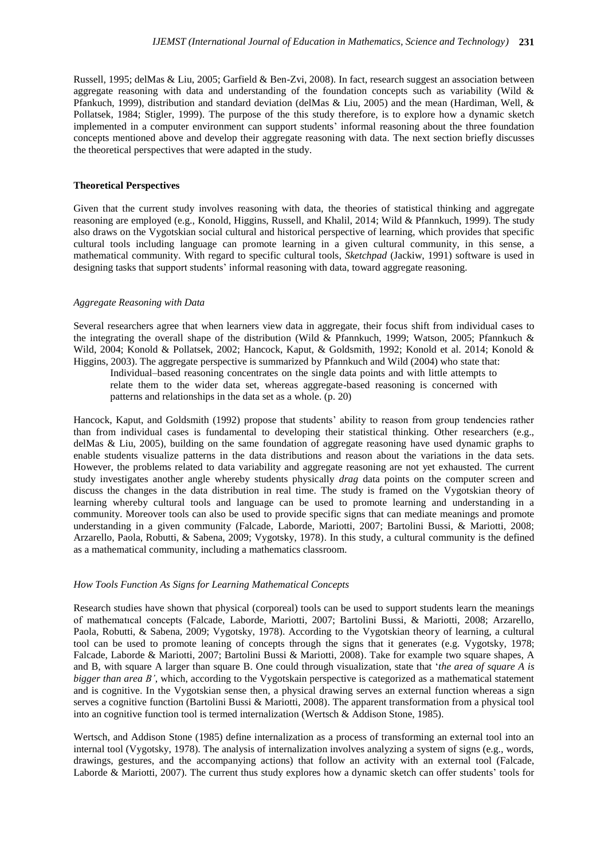Russell, 1995; delMas & Liu, 2005; Garfield & Ben-Zvi, 2008). In fact, research suggest an association between aggregate reasoning with data and understanding of the foundation concepts such as variability (Wild  $\&$ Pfankuch, 1999), distribution and standard deviation (delMas & Liu, 2005) and the mean (Hardiman, Well, & Pollatsek, 1984; Stigler, 1999). The purpose of the this study therefore, is to explore how a dynamic sketch implemented in a computer environment can support students' informal reasoning about the three foundation concepts mentioned above and develop their aggregate reasoning with data. The next section briefly discusses the theoretical perspectives that were adapted in the study.

#### **Theoretical Perspectives**

Given that the current study involves reasoning with data, the theories of statistical thinking and aggregate reasoning are employed (e.g., Konold, Higgins, Russell, and Khalil, 2014; Wild & Pfannkuch, 1999). The study also draws on the Vygotskian social cultural and historical perspective of learning, which provides that specific cultural tools including language can promote learning in a given cultural community, in this sense, a mathematical community. With regard to specific cultural tools, *Sketchpad* (Jackiw, 1991) software is used in designing tasks that support students' informal reasoning with data, toward aggregate reasoning.

#### *Aggregate Reasoning with Data*

Several researchers agree that when learners view data in aggregate, their focus shift from individual cases to the integrating the overall shape of the distribution (Wild & Pfannkuch, 1999; Watson, 2005; Pfannkuch & Wild, 2004; Konold & Pollatsek, 2002; Hancock, Kaput, & Goldsmith, 1992; Konold et al. 2014; Konold & Higgins, 2003). The aggregate perspective is summarized by Pfannkuch and Wild (2004) who state that:

Individual–based reasoning concentrates on the single data points and with little attempts to relate them to the wider data set, whereas aggregate-based reasoning is concerned with patterns and relationships in the data set as a whole. (p. 20)

Hancock, Kaput, and Goldsmith (1992) propose that students' ability to reason from group tendencies rather than from individual cases is fundamental to developing their statistical thinking. Other researchers (e.g., delMas & Liu, 2005), building on the same foundation of aggregate reasoning have used dynamic graphs to enable students visualize patterns in the data distributions and reason about the variations in the data sets. However, the problems related to data variability and aggregate reasoning are not yet exhausted. The current study investigates another angle whereby students physically *drag* data points on the computer screen and discuss the changes in the data distribution in real time. The study is framed on the Vygotskian theory of learning whereby cultural tools and language can be used to promote learning and understanding in a community. Moreover tools can also be used to provide specific signs that can mediate meanings and promote understanding in a given community (Falcade, Laborde, Mariotti, 2007; Bartolini Bussi, & Mariotti, 2008; Arzarello, Paola, Robutti, & Sabena, 2009; Vygotsky, 1978). In this study, a cultural community is the defined as a mathematical community, including a mathematics classroom.

#### *How Tools Function As Signs for Learning Mathematical Concepts*

Research studies have shown that physical (corporeal) tools can be used to support students learn the meanings of mathematıcal concepts (Falcade, Laborde, Mariotti, 2007; Bartolini Bussi, & Mariotti, 2008; Arzarello, Paola, Robutti, & Sabena, 2009; Vygotsky, 1978). According to the Vygotskian theory of learning, a cultural tool can be used to promote leaning of concepts through the signs that it generates (e.g. Vygotsky, 1978; Falcade, Laborde & Mariotti, 2007; Bartolini Bussi & Mariotti, 2008). Take for example two square shapes, A and B, with square A larger than square B. One could through visualization, state that '*the area of square A is bigger than area B'*, which, according to the Vygotskain perspective is categorized as a mathematical statement and is cognitive. In the Vygotskian sense then, a physical drawing serves an external function whereas a sign serves a cognitive function (Bartolini Bussi & Mariotti, 2008). The apparent transformation from a physical tool into an cognitive function tool is termed internalization (Wertsch & Addison Stone, 1985).

Wertsch, and Addison Stone (1985) define internalization as a process of transforming an external tool into an internal tool (Vygotsky, 1978). The analysis of internalization involves analyzing a system of signs (e.g., words, drawings, gestures, and the accompanying actions) that follow an activity with an external tool (Falcade, Laborde & Mariotti, 2007). The current thus study explores how a dynamic sketch can offer students' tools for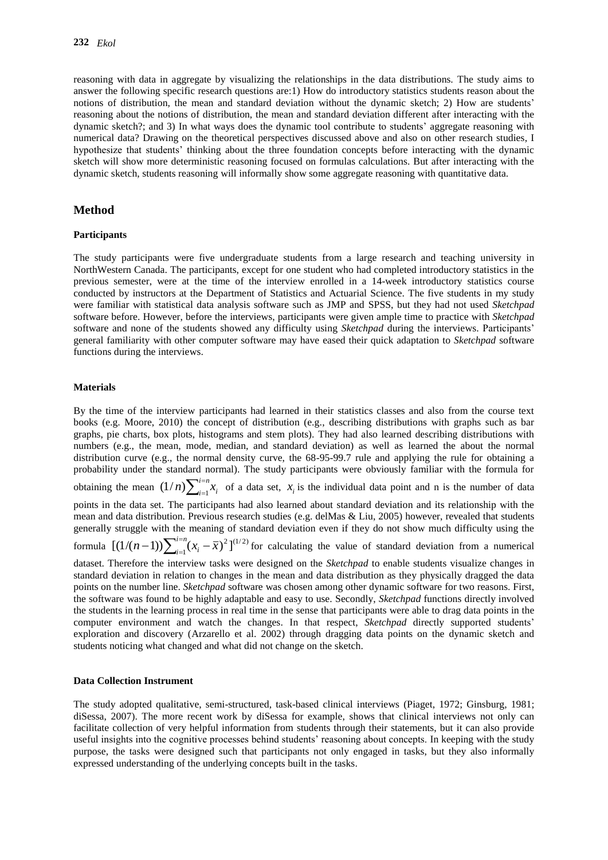reasoning with data in aggregate by visualizing the relationships in the data distributions. The study aims to answer the following specific research questions are:1) How do introductory statistics students reason about the notions of distribution, the mean and standard deviation without the dynamic sketch; 2) How are students' reasoning about the notions of distribution, the mean and standard deviation different after interacting with the dynamic sketch?; and 3) In what ways does the dynamic tool contribute to students' aggregate reasoning with numerical data? Drawing on the theoretical perspectives discussed above and also on other research studies, I hypothesize that students' thinking about the three foundation concepts before interacting with the dynamic sketch will show more deterministic reasoning focused on formulas calculations. But after interacting with the dynamic sketch, students reasoning will informally show some aggregate reasoning with quantitative data.

## **Method**

#### **Participants**

The study participants were five undergraduate students from a large research and teaching university in NorthWestern Canada. The participants, except for one student who had completed introductory statistics in the previous semester, were at the time of the interview enrolled in a 14-week introductory statistics course conducted by instructors at the Department of Statistics and Actuarial Science. The five students in my study were familiar with statistical data analysis software such as JMP and SPSS, but they had not used *Sketchpad* software before. However, before the interviews, participants were given ample time to practice with *Sketchpad* software and none of the students showed any difficulty using *Sketchpad* during the interviews. Participants' general familiarity with other computer software may have eased their quick adaptation to *Sketchpad* software functions during the interviews.

#### **Materials**

By the time of the interview participants had learned in their statistics classes and also from the course text books (e.g. Moore, 2010) the concept of distribution (e.g., describing distributions with graphs such as bar graphs, pie charts, box plots, histograms and stem plots). They had also learned describing distributions with numbers (e.g., the mean, mode, median, and standard deviation) as well as learned the about the normal distribution curve (e.g., the normal density curve, the 68-95-99.7 rule and applying the rule for obtaining a probability under the standard normal). The study participants were obviously familiar with the formula for obtaining the mean  $(1/n)\sum_{i=1}^{n}$  $\overline{a}$ *i n*  $(1/n)\sum_{i=1}^{n} x_i$  of a data set,  $x_i$  is the individual data point and n is the number of data points in the data set. The participants had also learned about standard deviation and its relationship with the mean and data distribution. Previous research studies (e.g. delMas & Liu, 2005) however, revealed that students generally struggle with the meaning of standard deviation even if they do not show much difficulty using the formula  $[(1/(n-1))\sum_{i=1}^{n} (x_i - \overline{x})^2]^{(1/2)}$  $[(1/(n-1))\sum_{i=1}^{i=n} (x_i - \bar{x})^2]$  $(i-1)$ ) $\sum_{i=1}^{i=n} (x_i \int_{-1}^{1} (x_i - \overline{x})^2$  for calculating the value of standard deviation from a numerical dataset. Therefore the interview tasks were designed on the *Sketchpad* to enable students visualize changes in standard deviation in relation to changes in the mean and data distribution as they physically dragged the data points on the number line. *Sketchpad* software was chosen among other dynamic software for two reasons. First, the software was found to be highly adaptable and easy to use. Secondly, *Sketchpad* functions directly involved the students in the learning process in real time in the sense that participants were able to drag data points in the computer environment and watch the changes. In that respect, *Sketchpad* directly supported students' exploration and discovery (Arzarello et al. 2002) through dragging data points on the dynamic sketch and students noticing what changed and what did not change on the sketch.

#### **Data Collection Instrument**

The study adopted qualitative, semi-structured, task-based clinical interviews (Piaget, 1972; Ginsburg, 1981; diSessa, 2007). The more recent work by diSessa for example, shows that clinical interviews not only can facilitate collection of very helpful information from students through their statements, but it can also provide useful insights into the cognitive processes behind students' reasoning about concepts. In keeping with the study purpose, the tasks were designed such that participants not only engaged in tasks, but they also informally expressed understanding of the underlying concepts built in the tasks.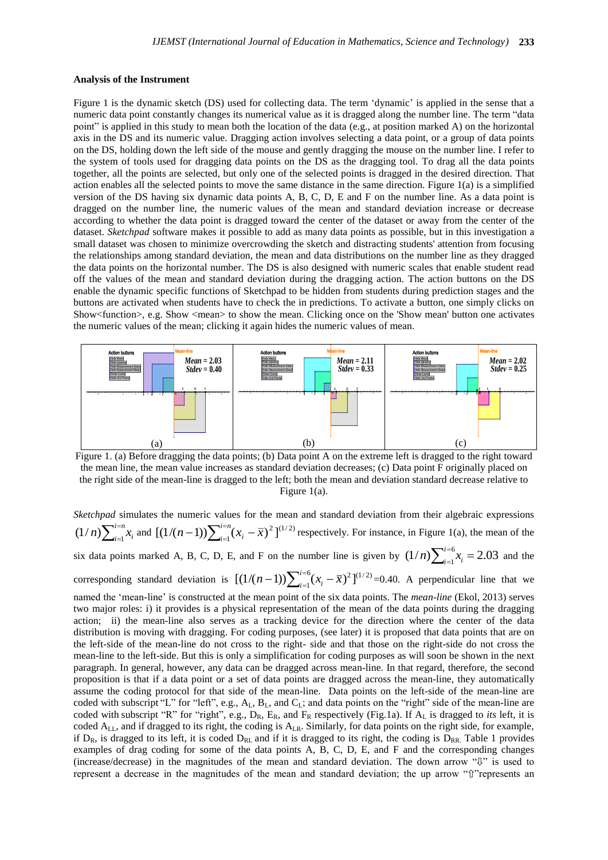#### **Analysis of the Instrument**

Figure 1 is the dynamic sketch (DS) used for collecting data. The term 'dynamic' is applied in the sense that a numeric data point constantly changes its numerical value as it is dragged along the number line. The term "data point" is applied in this study to mean both the location of the data (e.g., at position marked A) on the horizontal axis in the DS and its numeric value. Dragging action involves selecting a data point, or a group of data points on the DS, holding down the left side of the mouse and gently dragging the mouse on the number line. I refer to the system of tools used for dragging data points on the DS as the dragging tool. To drag all the data points together, all the points are selected, but only one of the selected points is dragged in the desired direction. That action enables all the selected points to move the same distance in the same direction. Figure 1(a) is a simplified version of the DS having six dynamic data points A, B, C, D, E and F on the number line. As a data point is dragged on the number line, the numeric values of the mean and standard deviation increase or decrease according to whether the data point is dragged toward the center of the dataset or away from the center of the dataset. *Sketchpad* software makes it possible to add as many data points as possible, but in this investigation a small dataset was chosen to minimize overcrowding the sketch and distracting students' attention from focusing the relationships among standard deviation, the mean and data distributions on the number line as they dragged the data points on the horizontal number. The DS is also designed with numeric scales that enable student read off the values of the mean and standard deviation during the dragging action. The action buttons on the DS enable the dynamic specific functions of Sketchpad to be hidden from students during prediction stages and the buttons are activated when students have to check the in predictions. To activate a button, one simply clicks on Show<function>, e.g. Show <mean> to show the mean. Clicking once on the 'Show mean' button one activates the numeric values of the mean; clicking it again hides the numeric values of mean.



Figure 1. (a) Before dragging the data points; (b) Data point A on the extreme left is dragged to the right toward the mean line, the mean value increases as standard deviation decreases; (c) Data point F originally placed on the right side of the mean-line is dragged to the left; both the mean and deviation standard decrease relative to Figure 1(a).

*Sketchpad* simulates the numeric values for the mean and standard deviation from their algebraic expressions  $\sum_{i=1}^{n}$ Ξ. *i <sup>n</sup>*  $(1/n)\sum_{i=1}^{n} x_i$  and  $[(1/(n-1))\sum_{i=1}^{n} (x_i - \bar{x})^2]^{(1/2)}$  $[(1/(n-1))\sum_{i=1}^{i=n} (x_i - \bar{x})^2]$  $(i-1)$ ) $\sum_{i=1}^{i=n} (x_i \int_{-1}^{1} (x_i - \overline{x})^2$  respectively. For instance, in Figure 1(a), the mean of the six data points marked A, B, C, D, E, and F on the number line is given by  $(1/n)\sum_{i=1}^{i=6} x_i = 2.03$ *i*  $\sum_{i=1}^{i=0} x_i = 2.03$  and the corresponding standard deviation is  $[(1/(n-1))\sum_{i=1}^{i=6} (x_i - \overline{x})^2]^{(1/2)}$  $[(1/(n-1))\sum_{i=1}^{i=6} (x_i - \overline{x})^2]$  $(i-1)$ ) $\sum_{i=1}^{i=0}$  $(x_i \int_{-1}^{\infty} (x_i - \overline{x})^2$   $\int_{0}^{\frac{1}{2}} f(x_i - \overline{x})^2 dx = 0.40$ . A perpendicular line that we named the 'mean-line' is constructed at the mean point of the six data points. The *mean-line* (Ekol, 2013) serves two major roles: i) it provides is a physical representation of the mean of the data points during the dragging action; ii) the mean-line also serves as a tracking device for the direction where the center of the data distribution is moving with dragging. For coding purposes, (see later) it is proposed that data points that are on the left-side of the mean-line do not cross to the right- side and that those on the right-side do not cross the mean-line to the left-side. But this is only a simplification for coding purposes as will soon be shown in the next paragraph. In general, however, any data can be dragged across mean-line. In that regard, therefore, the second proposition is that if a data point or a set of data points are dragged across the mean-line, they automatically assume the coding protocol for that side of the mean-line. Data points on the left-side of the mean-line are coded with subscript "L" for "left", e.g.,  $A_L$ ,  $B_L$ , and  $C_L$ ; and data points on the "right" side of the mean-line are coded with subscript "R" for "right", e.g.,  $D_R$ ,  $E_R$ , and  $F_R$  respectively (Fig.1a). If  $A_L$  is dragged to *its* left, it is coded A<sub>LL</sub>, and if dragged to its right, the coding is A<sub>LR</sub>. Similarly, for data points on the right side, for example, if  $D_R$ , is dragged to its left, it is coded  $D_{RL}$  and if it is dragged to its right, the coding is  $D_{RR}$ . Table 1 provides examples of drag coding for some of the data points A, B, C, D, E, and F and the corresponding changes (increase/decrease) in the magnitudes of the mean and standard deviation. The down arrow "⇩" is used to represent a decrease in the magnitudes of the mean and standard deviation; the up arrow "⇧"represents an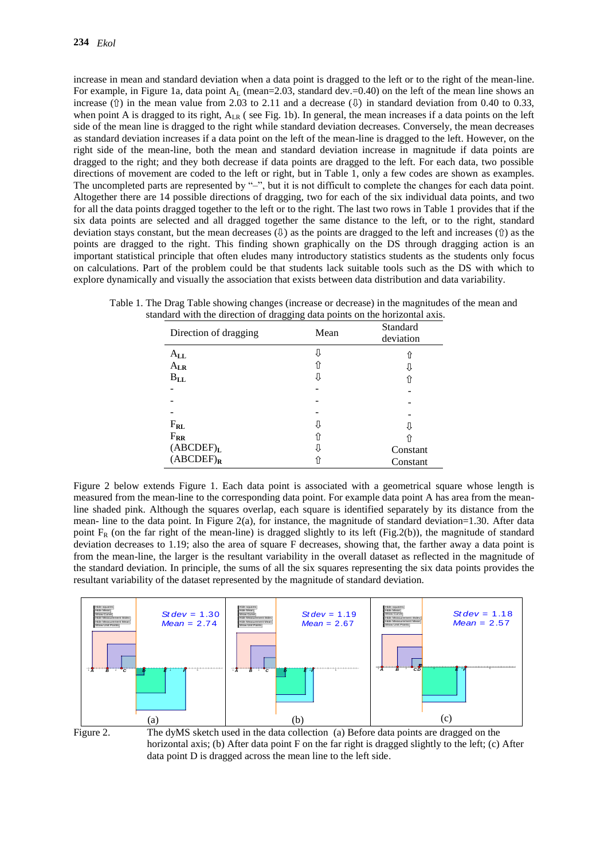increase in mean and standard deviation when a data point is dragged to the left or to the right of the mean-line. For example, in Figure 1a, data point  $A_L$  (mean=2.03, standard dev.=0.40) on the left of the mean line shows an increase  $(①)$  in the mean value from 2.03 to 2.11 and a decrease  $(①)$  in standard deviation from 0.40 to 0.33, when point A is dragged to its right,  $A_{LR}$  (see Fig. 1b). In general, the mean increases if a data points on the left side of the mean line is dragged to the right while standard deviation decreases. Conversely, the mean decreases as standard deviation increases if a data point on the left of the mean-line is dragged to the left. However, on the right side of the mean-line, both the mean and standard deviation increase in magnitude if data points are dragged to the right; and they both decrease if data points are dragged to the left. For each data, two possible directions of movement are coded to the left or right, but in Table 1, only a few codes are shown as examples. The uncompleted parts are represented by "-", but it is not difficult to complete the changes for each data point. Altogether there are 14 possible directions of dragging, two for each of the six individual data points, and two for all the data points dragged together to the left or to the right. The last two rows in Table 1 provides that if the six data points are selected and all dragged together the same distance to the left, or to the right, standard deviation stays constant, but the mean decreases  $(\theta)$  as the points are dragged to the left and increases (î) as the points are dragged to the right. This finding shown graphically on the DS through dragging action is an important statistical principle that often eludes many introductory statistics students as the students only focus on calculations. Part of the problem could be that students lack suitable tools such as the DS with which to explore dynamically and visually the association that exists between data distribution and data variability.

| Direction of dragging      | 00<br>o<br>Mean | Standard<br>deviation |
|----------------------------|-----------------|-----------------------|
| $A_{\mathbf{L}\mathbf{L}}$ |                 | îì                    |
| $A_{LR}$                   | íì              |                       |
| $B_{LL}$                   |                 |                       |
|                            |                 |                       |
|                            |                 |                       |
|                            |                 |                       |
| $F_{RL}$                   |                 |                       |
| $F_{RR}$                   |                 |                       |
| (ABCDEF) <sub>L</sub>      |                 | Constant              |
| $(ABCDEF)_{R}$             |                 | Constant              |

Table 1. The Drag Table showing changes (increase or decrease) in the magnitudes of the mean and standard with the direction of dragging data points on the horizontal axis.

Figure 2 below extends Figure 1. Each data point is associated with a geometrical square whose length is measured from the mean-line to the corresponding data point. For example data point A has area from the meanline shaded pink. Although the squares overlap, each square is identified separately by its distance from the mean- line to the data point. In Figure 2(a), for instance, the magnitude of standard deviation=1.30. After data point  $F_R$  (on the far right of the mean-line) is dragged slightly to its left (Fig.2(b)), the magnitude of standard deviation decreases to 1.19; also the area of square F decreases, showing that, the farther away a data point is from the mean-line, the larger is the resultant variability in the overall dataset as reflected in the magnitude of the standard deviation. In principle, the sums of all the six squares representing the six data points provides the resultant variability of the dataset represented by the magnitude of standard deviation.



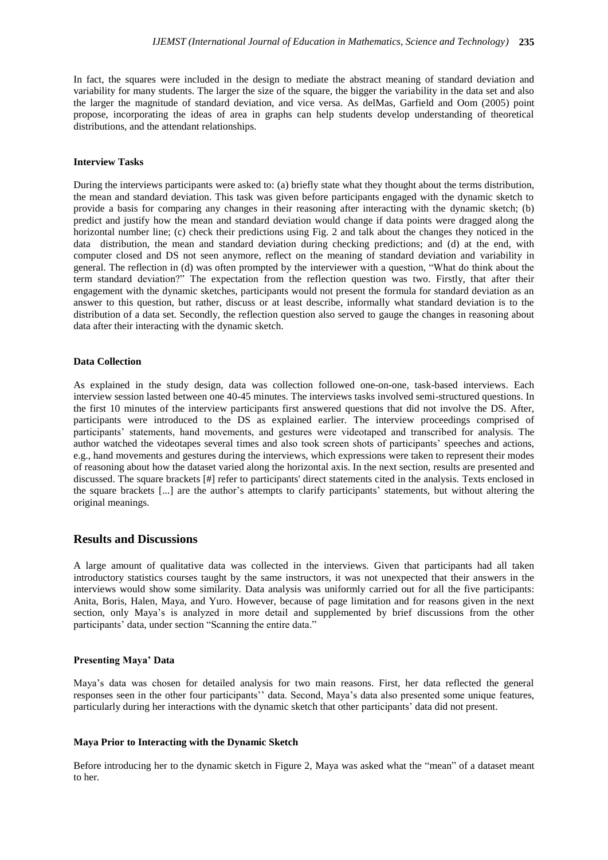In fact, the squares were included in the design to mediate the abstract meaning of standard deviation and variability for many students. The larger the size of the square, the bigger the variability in the data set and also the larger the magnitude of standard deviation, and vice versa. As delMas, Garfield and Oom (2005) point propose, incorporating the ideas of area in graphs can help students develop understanding of theoretical distributions, and the attendant relationships.

## **Interview Tasks**

During the interviews participants were asked to: (a) briefly state what they thought about the terms distribution, the mean and standard deviation. This task was given before participants engaged with the dynamic sketch to provide a basis for comparing any changes in their reasoning after interacting with the dynamic sketch; (b) predict and justify how the mean and standard deviation would change if data points were dragged along the horizontal number line; (c) check their predictions using Fig. 2 and talk about the changes they noticed in the data distribution, the mean and standard deviation during checking predictions; and (d) at the end, with computer closed and DS not seen anymore, reflect on the meaning of standard deviation and variability in general. The reflection in (d) was often prompted by the interviewer with a question, "What do think about the term standard deviation?" The expectation from the reflection question was two. Firstly, that after their engagement with the dynamic sketches, participants would not present the formula for standard deviation as an answer to this question, but rather, discuss or at least describe, informally what standard deviation is to the distribution of a data set. Secondly, the reflection question also served to gauge the changes in reasoning about data after their interacting with the dynamic sketch*.*

#### **Data Collection**

As explained in the study design, data was collection followed one-on-one, task-based interviews. Each interview session lasted between one 40-45 minutes. The interviews tasks involved semi-structured questions. In the first 10 minutes of the interview participants first answered questions that did not involve the DS. After, participants were introduced to the DS as explained earlier. The interview proceedings comprised of participants' statements, hand movements, and gestures were videotaped and transcribed for analysis. The author watched the videotapes several times and also took screen shots of participants' speeches and actions, e.g., hand movements and gestures during the interviews, which expressions were taken to represent their modes of reasoning about how the dataset varied along the horizontal axis. In the next section, results are presented and discussed. The square brackets [#] refer to participants' direct statements cited in the analysis. Texts enclosed in the square brackets [...] are the author's attempts to clarify participants' statements, but without altering the original meanings.

#### **Results and Discussions**

A large amount of qualitative data was collected in the interviews. Given that participants had all taken introductory statistics courses taught by the same instructors, it was not unexpected that their answers in the interviews would show some similarity. Data analysis was uniformly carried out for all the five participants: Anita, Boris, Halen, Maya, and Yuro. However, because of page limitation and for reasons given in the next section, only Maya's is analyzed in more detail and supplemented by brief discussions from the other participants' data, under section "Scanning the entire data."

#### **Presenting Maya' Data**

Maya's data was chosen for detailed analysis for two main reasons. First, her data reflected the general responses seen in the other four participants'' data. Second, Maya's data also presented some unique features, particularly during her interactions with the dynamic sketch that other participants' data did not present.

#### **Maya Prior to Interacting with the Dynamic Sketch**

Before introducing her to the dynamic sketch in Figure 2, Maya was asked what the "mean" of a dataset meant to her*.*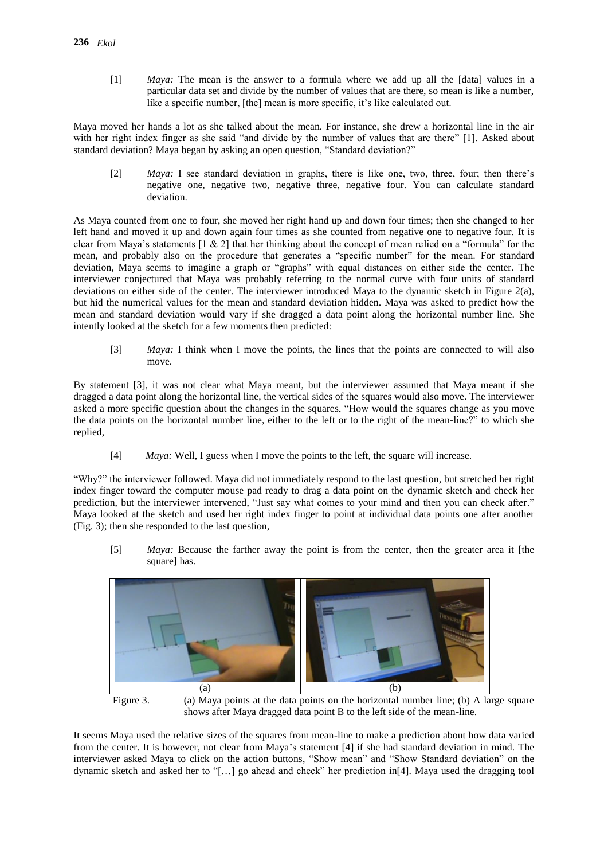[1] *Maya:* The mean is the answer to a formula where we add up all the [data] values in a particular data set and divide by the number of values that are there, so mean is like a number, like a specific number, [the] mean is more specific, it's like calculated out.

Maya moved her hands a lot as she talked about the mean. For instance, she drew a horizontal line in the air with her right index finger as she said "and divide by the number of values that are there" [1]. Asked about standard deviation? Maya began by asking an open question, "Standard deviation?"

[2] *Maya:* I see standard deviation in graphs, there is like one, two, three, four; then there's negative one, negative two, negative three, negative four. You can calculate standard deviation.

As Maya counted from one to four, she moved her right hand up and down four times; then she changed to her left hand and moved it up and down again four times as she counted from negative one to negative four. It is clear from Maya's statements  $[1 \& 2]$  that her thinking about the concept of mean relied on a "formula" for the mean, and probably also on the procedure that generates a "specific number" for the mean. For standard deviation, Maya seems to imagine a graph or "graphs" with equal distances on either side the center. The interviewer conjectured that Maya was probably referring to the normal curve with four units of standard deviations on either side of the center. The interviewer introduced Maya to the dynamic sketch in Figure 2(a), but hid the numerical values for the mean and standard deviation hidden. Maya was asked to predict how the mean and standard deviation would vary if she dragged a data point along the horizontal number line. She intently looked at the sketch for a few moments then predicted:

[3] *Maya:* I think when I move the points, the lines that the points are connected to will also move.

By statement [3], it was not clear what Maya meant, but the interviewer assumed that Maya meant if she dragged a data point along the horizontal line, the vertical sides of the squares would also move. The interviewer asked a more specific question about the changes in the squares, "How would the squares change as you move the data points on the horizontal number line, either to the left or to the right of the mean-line?" to which she replied,

[4] *Maya:* Well, I guess when I move the points to the left, the square will increase.

"Why?" the interviewer followed. Maya did not immediately respond to the last question, but stretched her right index finger toward the computer mouse pad ready to drag a data point on the dynamic sketch and check her prediction, but the interviewer intervened, "Just say what comes to your mind and then you can check after." Maya looked at the sketch and used her right index finger to point at individual data points one after another (Fig. 3); then she responded to the last question,

[5] *Maya:* Because the farther away the point is from the center, then the greater area it [the square] has.



Figure 3. (a) Maya points at the data points on the horizontal number line; (b) A large square shows after Maya dragged data point B to the left side of the mean-line.

It seems Maya used the relative sizes of the squares from mean-line to make a prediction about how data varied from the center. It is however, not clear from Maya's statement [4] if she had standard deviation in mind. The interviewer asked Maya to click on the action buttons, "Show mean" and "Show Standard deviation" on the dynamic sketch and asked her to "[…] go ahead and check" her prediction in[4]. Maya used the dragging tool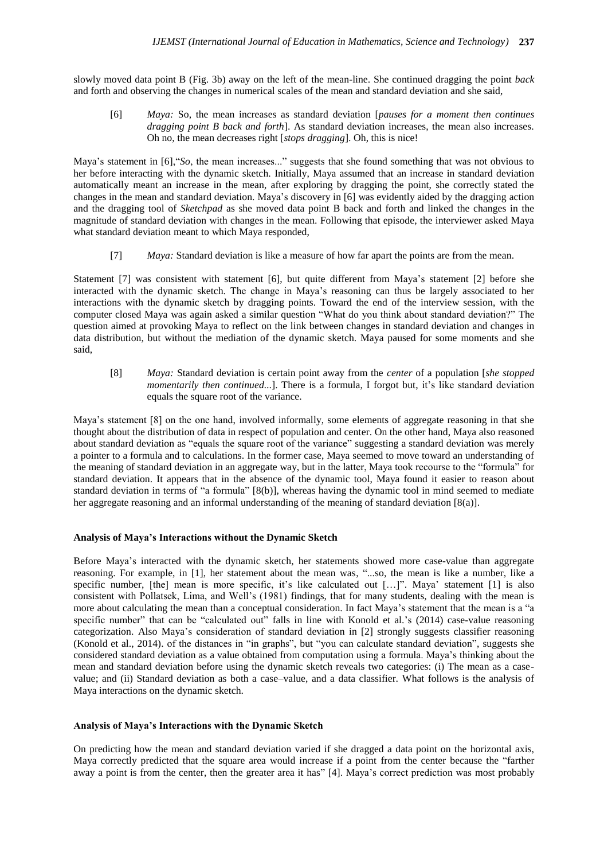slowly moved data point B (Fig. 3b) away on the left of the mean-line. She continued dragging the point *back* and forth and observing the changes in numerical scales of the mean and standard deviation and she said,

[6] *Maya:* So, the mean increases as standard deviation [*pauses for a moment then continues dragging point B back and forth*]. As standard deviation increases, the mean also increases. Oh no, the mean decreases right [*stops dragging*]. Oh, this is nice!

Maya's statement in [6],"*So*, the mean increases..." suggests that she found something that was not obvious to her before interacting with the dynamic sketch. Initially, Maya assumed that an increase in standard deviation automatically meant an increase in the mean, after exploring by dragging the point, she correctly stated the changes in the mean and standard deviation. Maya's discovery in [6] was evidently aided by the dragging action and the dragging tool of *Sketchpad* as she moved data point B back and forth and linked the changes in the magnitude of standard deviation with changes in the mean. Following that episode, the interviewer asked Maya what standard deviation meant to which Maya responded,

[7] *Maya:* Standard deviation is like a measure of how far apart the points are from the mean.

Statement [7] was consistent with statement [6], but quite different from Maya's statement [2] before she interacted with the dynamic sketch. The change in Maya's reasoning can thus be largely associated to her interactions with the dynamic sketch by dragging points. Toward the end of the interview session, with the computer closed Maya was again asked a similar question "What do you think about standard deviation?" The question aimed at provoking Maya to reflect on the link between changes in standard deviation and changes in data distribution, but without the mediation of the dynamic sketch. Maya paused for some moments and she said,

[8] *Maya:* Standard deviation is certain point away from the *center* of a population [*she stopped momentarily then continued...*]. There is a formula, I forgot but, it's like standard deviation equals the square root of the variance.

Maya's statement [8] on the one hand, involved informally, some elements of aggregate reasoning in that she thought about the distribution of data in respect of population and center. On the other hand, Maya also reasoned about standard deviation as "equals the square root of the variance" suggesting a standard deviation was merely a pointer to a formula and to calculations. In the former case, Maya seemed to move toward an understanding of the meaning of standard deviation in an aggregate way, but in the latter, Maya took recourse to the "formula" for standard deviation. It appears that in the absence of the dynamic tool, Maya found it easier to reason about standard deviation in terms of "a formula" [8(b)], whereas having the dynamic tool in mind seemed to mediate her aggregate reasoning and an informal understanding of the meaning of standard deviation [8(a)].

#### **Analysis of Maya's Interactions without the Dynamic Sketch**

Before Maya's interacted with the dynamic sketch, her statements showed more case-value than aggregate reasoning. For example, in [1], her statement about the mean was, "...so*,* the mean is like a number, like a specific number, [the] mean is more specific, it's like calculated out [...]". Maya' statement [1] is also consistent with Pollatsek, Lima, and Well's (1981) findings, that for many students, dealing with the mean is more about calculating the mean than a conceptual consideration. In fact Maya's statement that the mean is a "a specific number" that can be "calculated out" falls in line with Konold et al.'s (2014) case-value reasoning categorization. Also Maya's consideration of standard deviation in [2] strongly suggests classifier reasoning (Konold et al., 2014). of the distances in "in graphs", but "you can calculate standard deviation", suggests she considered standard deviation as a value obtained from computation using a formula. Maya's thinking about the mean and standard deviation before using the dynamic sketch reveals two categories: (i) The mean as a casevalue; and (ii) Standard deviation as both a case–value, and a data classifier. What follows is the analysis of Maya interactions on the dynamic sketch.

#### **Analysis of Maya's Interactions with the Dynamic Sketch**

On predicting how the mean and standard deviation varied if she dragged a data point on the horizontal axis, Maya correctly predicted that the square area would increase if a point from the center because the "farther away a point is from the center, then the greater area it has" [4]. Maya's correct prediction was most probably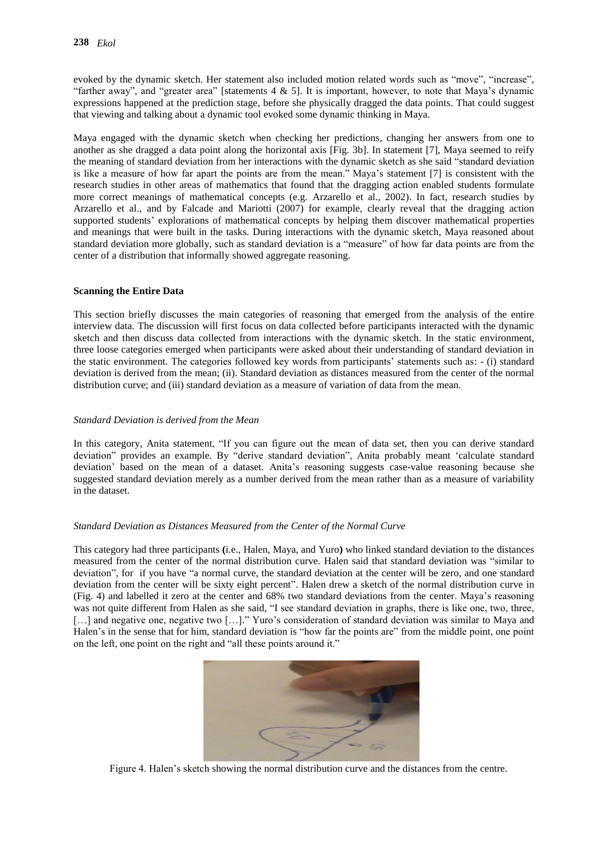evoked by the dynamic sketch. Her statement also included motion related words such as "move", "increase", "farther away", and "greater area" [statements  $4 \& 5$ ]. It is important, however, to note that Maya's dynamic expressions happened at the prediction stage, before she physically dragged the data points. That could suggest that viewing and talking about a dynamic tool evoked some dynamic thinking in Maya.

Maya engaged with the dynamic sketch when checking her predictions, changing her answers from one to another as she dragged a data point along the horizontal axis [Fig. 3b]. In statement [7], Maya seemed to reify the meaning of standard deviation from her interactions with the dynamic sketch as she said "standard deviation is like a measure of how far apart the points are from the mean." Maya's statement [7] is consistent with the research studies in other areas of mathematics that found that the dragging action enabled students formulate more correct meanings of mathematical concepts (e.g. Arzarello et al., 2002). In fact, research studies by Arzarello et al., and by Falcade and Mariotti (2007) for example, clearly reveal that the dragging action supported students' explorations of mathematical concepts by helping them discover mathematical properties and meanings that were built in the tasks. During interactions with the dynamic sketch, Maya reasoned about standard deviation more globally, such as standard deviation is a "measure" of how far data points are from the center of a distribution that informally showed aggregate reasoning.

#### **Scanning the Entire Data**

This section briefly discusses the main categories of reasoning that emerged from the analysis of the entire interview data. The discussion will first focus on data collected before participants interacted with the dynamic sketch and then discuss data collected from interactions with the dynamic sketch. In the static environment, three loose categories emerged when participants were asked about their understanding of standard deviation in the static environment. The categories followed key words from participants' statements such as: - (i) standard deviation is derived from the mean; (ii). Standard deviation as distances measured from the center of the normal distribution curve; and (iii) standard deviation as a measure of variation of data from the mean.

#### *Standard Deviation is derived from the Mean*

In this category, Anita statement, "If you can figure out the mean of data set, then you can derive standard deviation" provides an example. By "derive standard deviation", Anita probably meant 'calculate standard deviation' based on the mean of a dataset. Anita's reasoning suggests case-value reasoning because she suggested standard deviation merely as a number derived from the mean rather than as a measure of variability in the dataset.

## *Standard Deviation as Distances Measured from the Center of the Normal Curve*

This category had three participants **(**i.e., Halen, Maya, and Yuro**)** who linked standard deviation to the distances measured from the center of the normal distribution curve. Halen said that standard deviation was "similar to deviation", for if you have "a normal curve, the standard deviation at the center will be zero, and one standard deviation from the center will be sixty eight percent". Halen drew a sketch of the normal distribution curve in (Fig. 4) and labelled it zero at the center and 68% two standard deviations from the center. Maya's reasoning was not quite different from Halen as she said, "I see standard deviation in graphs, there is like one, two, three, [...] and negative one, negative two [...]." Yuro's consideration of standard deviation was similar to Maya and Halen's in the sense that for him, standard deviation is "how far the points are" from the middle point, one point on the left, one point on the right and "all these points around it."



Figure 4. Halen's sketch showing the normal distribution curve and the distances from the centre.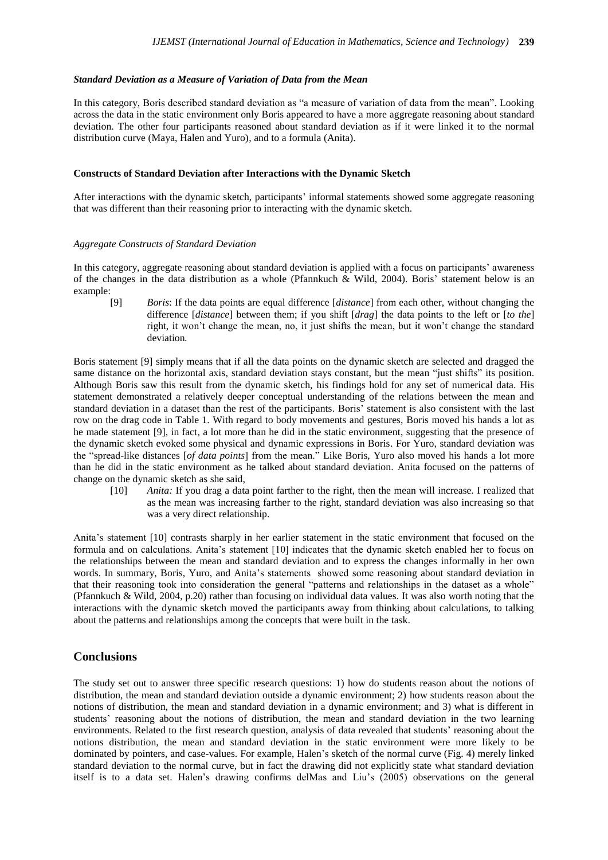#### *Standard Deviation as a Measure of Variation of Data from the Mean*

In this category, Boris described standard deviation as "a measure of variation of data from the mean". Looking across the data in the static environment only Boris appeared to have a more aggregate reasoning about standard deviation. The other four participants reasoned about standard deviation as if it were linked it to the normal distribution curve (Maya, Halen and Yuro), and to a formula (Anita).

#### **Constructs of Standard Deviation after Interactions with the Dynamic Sketch**

After interactions with the dynamic sketch, participants' informal statements showed some aggregate reasoning that was different than their reasoning prior to interacting with the dynamic sketch.

#### *Aggregate Constructs of Standard Deviation*

In this category, aggregate reasoning about standard deviation is applied with a focus on participants' awareness of the changes in the data distribution as a whole (Pfannkuch & Wild, 2004). Boris' statement below is an example:

[9] *Boris*: If the data points are equal difference [*distance*] from each other, without changing the difference [*distance*] between them; if you shift [*drag*] the data points to the left or [*to the*] right, it won't change the mean, no, it just shifts the mean, but it won't change the standard deviation*.*

Boris statement [9] simply means that if all the data points on the dynamic sketch are selected and dragged the same distance on the horizontal axis, standard deviation stays constant, but the mean "just shifts" its position. Although Boris saw this result from the dynamic sketch, his findings hold for any set of numerical data. His statement demonstrated a relatively deeper conceptual understanding of the relations between the mean and standard deviation in a dataset than the rest of the participants. Boris' statement is also consistent with the last row on the drag code in Table 1. With regard to body movements and gestures, Boris moved his hands a lot as he made statement [9], in fact, a lot more than he did in the static environment, suggesting that the presence of the dynamic sketch evoked some physical and dynamic expressions in Boris. For Yuro, standard deviation was the "spread-like distances [*of data points*] from the mean." Like Boris, Yuro also moved his hands a lot more than he did in the static environment as he talked about standard deviation. Anita focused on the patterns of change on the dynamic sketch as she said,

[10] *Anita:* If you drag a data point farther to the right, then the mean will increase. I realized that as the mean was increasing farther to the right, standard deviation was also increasing so that was a very direct relationship.

Anita's statement [10] contrasts sharply in her earlier statement in the static environment that focused on the formula and on calculations. Anita's statement [10] indicates that the dynamic sketch enabled her to focus on the relationships between the mean and standard deviation and to express the changes informally in her own words. In summary, Boris, Yuro, and Anita's statements showed some reasoning about standard deviation in that their reasoning took into consideration the general "patterns and relationships in the dataset as a whole" (Pfannkuch & Wild, 2004, p.20) rather than focusing on individual data values. It was also worth noting that the interactions with the dynamic sketch moved the participants away from thinking about calculations, to talking about the patterns and relationships among the concepts that were built in the task.

## **Conclusions**

The study set out to answer three specific research questions: 1) how do students reason about the notions of distribution, the mean and standard deviation outside a dynamic environment; 2) how students reason about the notions of distribution, the mean and standard deviation in a dynamic environment; and 3) what is different in students' reasoning about the notions of distribution, the mean and standard deviation in the two learning environments. Related to the first research question, analysis of data revealed that students' reasoning about the notions distribution, the mean and standard deviation in the static environment were more likely to be dominated by pointers, and case-values. For example, Halen's sketch of the normal curve (Fig. 4) merely linked standard deviation to the normal curve, but in fact the drawing did not explicitly state what standard deviation itself is to a data set. Halen's drawing confirms delMas and Liu's (2005) observations on the general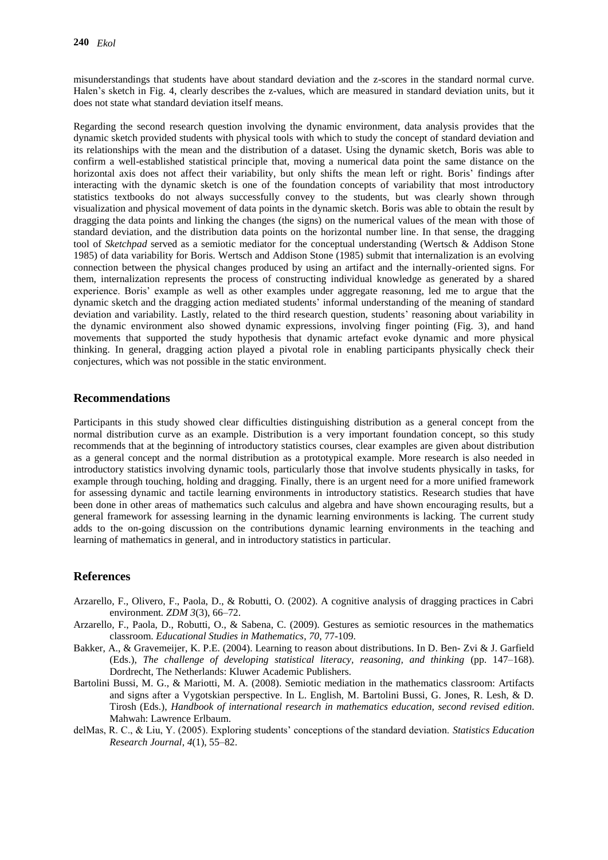misunderstandings that students have about standard deviation and the z-scores in the standard normal curve. Halen's sketch in Fig. 4, clearly describes the z-values, which are measured in standard deviation units, but it does not state what standard deviation itself means.

Regarding the second research question involving the dynamic environment, data analysis provides that the dynamic sketch provided students with physical tools with which to study the concept of standard deviation and its relationships with the mean and the distribution of a dataset. Using the dynamic sketch, Boris was able to confirm a well-established statistical principle that, moving a numerical data point the same distance on the horizontal axis does not affect their variability, but only shifts the mean left or right. Boris' findings after interacting with the dynamic sketch is one of the foundation concepts of variability that most introductory statistics textbooks do not always successfully convey to the students, but was clearly shown through visualization and physical movement of data points in the dynamic sketch. Boris was able to obtain the result by dragging the data points and linking the changes (the signs) on the numerical values of the mean with those of standard deviation, and the distribution data points on the horizontal number line. In that sense, the dragging tool of *Sketchpad* served as a semiotic mediator for the conceptual understanding (Wertsch & Addison Stone 1985) of data variability for Boris. Wertsch and Addison Stone (1985) submit that internalization is an evolving connection between the physical changes produced by using an artifact and the internally-oriented signs. For them, internalization represents the process of constructing individual knowledge as generated by a shared experience. Boris' example as well as other examples under aggregate reasonıng, led me to argue that the dynamic sketch and the dragging action mediated students' informal understanding of the meaning of standard deviation and variability. Lastly, related to the third research question, students' reasoning about variability in the dynamic environment also showed dynamic expressions, involving finger pointing (Fig. 3), and hand movements that supported the study hypothesis that dynamic artefact evoke dynamic and more physical thinking. In general, dragging action played a pivotal role in enabling participants physically check their conjectures, which was not possible in the static environment.

## **Recommendations**

Participants in this study showed clear difficulties distinguishing distribution as a general concept from the normal distribution curve as an example. Distribution is a very important foundation concept, so this study recommends that at the beginning of introductory statistics courses, clear examples are given about distribution as a general concept and the normal distribution as a prototypical example. More research is also needed in introductory statistics involving dynamic tools, particularly those that involve students physically in tasks, for example through touching, holding and dragging. Finally, there is an urgent need for a more unified framework for assessing dynamic and tactile learning environments in introductory statistics. Research studies that have been done in other areas of mathematics such calculus and algebra and have shown encouraging results, but a general framework for assessing learning in the dynamic learning environments is lacking. The current study adds to the on-going discussion on the contributions dynamic learning environments in the teaching and learning of mathematics in general, and in introductory statistics in particular.

## **References**

- Arzarello, F., Olivero, F., Paola, D., & Robutti, O. (2002). A cognitive analysis of dragging practices in Cabri environment*. ZDM 3*(3), 66–72.
- Arzarello, F., Paola, D., Robutti, O., & Sabena, C. (2009). Gestures as semiotic resources in the mathematics classroom. *Educational Studies in Mathematics*, *70*, 77-109.
- Bakker, A., & Gravemeijer, K. P.E. (2004). Learning to reason about distributions. In D. Ben- Zvi & J. Garfield (Eds.), *The challenge of developing statistical literacy, reasoning, and thinking* (pp. 147–168). Dordrecht, The Netherlands: Kluwer Academic Publishers.
- Bartolini Bussi, M. G., & Mariotti, M. A. (2008). Semiotic mediation in the mathematics classroom: Artifacts and signs after a Vygotskian perspective. In L. English, M. Bartolini Bussi, G. Jones, R. Lesh, & D. Tirosh (Eds.), *Handbook of international research in mathematics education, second revised edition*. Mahwah: Lawrence Erlbaum.
- delMas, R. C., & Liu, Y. (2005). Exploring students' conceptions of the standard deviation. *Statistics Education Research Journal*, *4*(1), 55–82.